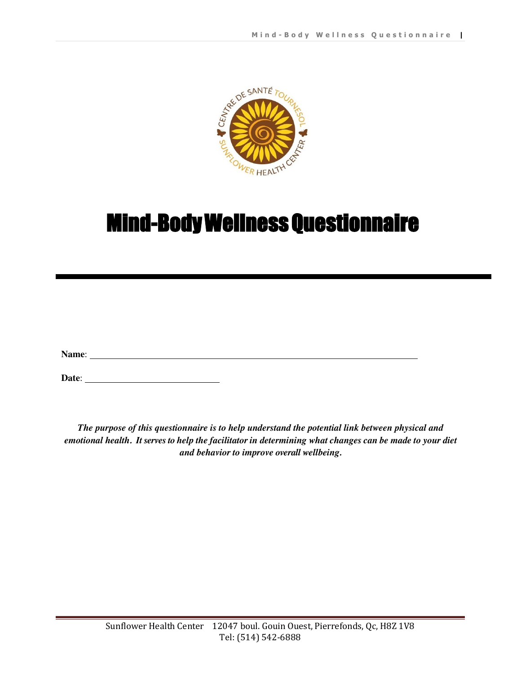

# Mind-Body Wellness Questionnaire

**Name**:

**Date**:

*The purpose of this questionnaire is to help understand the potential link between physical and emotional health. It serves to help the facilitatorin determining what changes can be made to your diet and behavior to improve overall wellbeing.*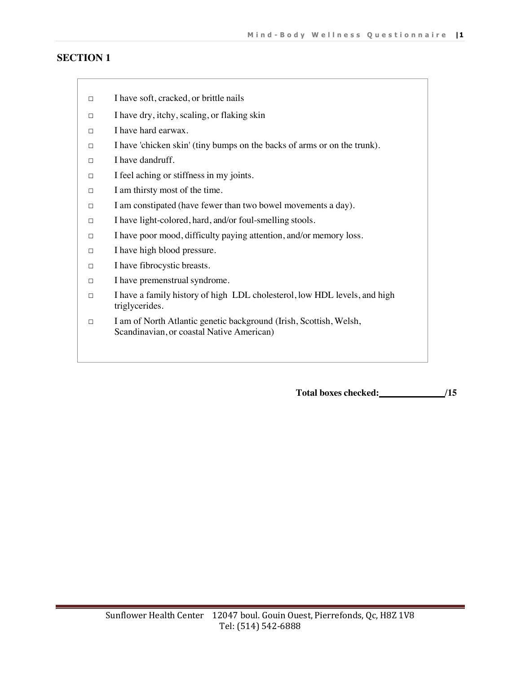- □ I have soft, cracked, or brittle nails
- □ I have dry, itchy, scaling, or flaking skin
- □ I have hard earwax.
- □ I have 'chicken skin' (tiny bumps on the backs of arms or on the trunk).
- □ I have dandruff.
- □ I feel aching or stiffness in my joints.
- □ I am thirsty most of the time.
- □ I am constipated (have fewer than two bowel movements a day).
- □ I have light-colored, hard, and/or foul-smelling stools.
- □ I have poor mood, difficulty paying attention, and/or memory loss.
- □ I have high blood pressure.
- □ I have fibrocystic breasts.
- □ I have premenstrual syndrome.
- □ I have a family history of high LDL cholesterol, low HDL levels, and high triglycerides.
- □ I am of North Atlantic genetic background (Irish, Scottish, Welsh, Scandinavian, or coastal Native American)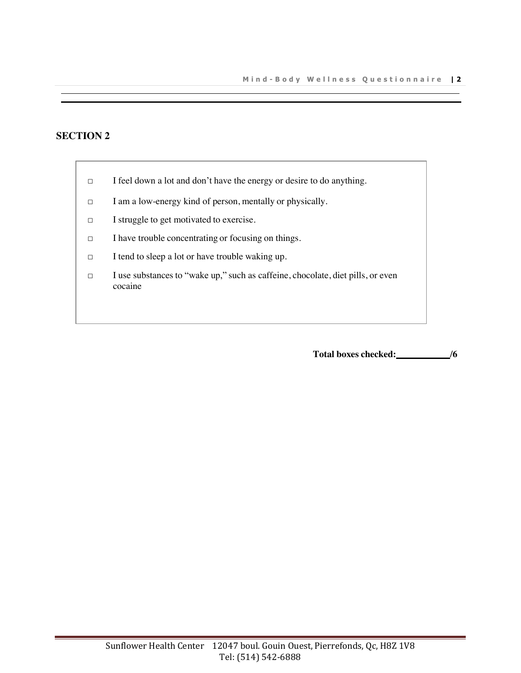- □ I feel down a lot and don't have the energy or desire to do anything.
- □ I am a low-energy kind of person, mentally or physically.
- □ I struggle to get motivated to exercise.
- □ I have trouble concentrating or focusing on things.
- □ I tend to sleep a lot or have trouble waking up.
- □ I use substances to "wake up," such as caffeine, chocolate, diet pills, or even cocaine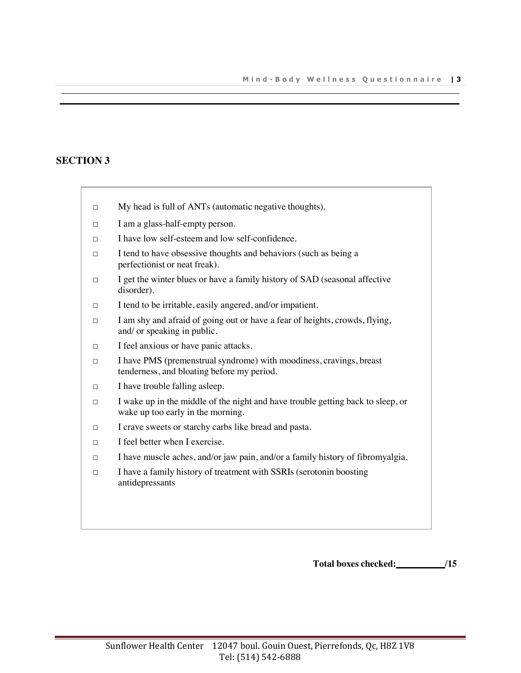- □ My head is full of ANTs (automatic negative thoughts).
- □ I am a glass-half-empty person.
- □ I have low self-esteem and low self-confidence.
- □ I tend to have obsessive thoughts and behaviors (such as being a perfectionist or neat freak).
- □ I get the winter blues or have a family history of SAD (seasonal affective disorder).
- $\Box$  I tend to be irritable, easily angered, and/or impatient.
- □ I am shy and afraid of going out or have a fear of heights, crowds, flying, and/ or speaking in public.
- □ I feel anxious or have panic attacks.
- $\Box$  I have PMS (premenstrual syndrome) with moodiness, cravings, breast tenderness, and bloating before my period.
- □ I have trouble falling asleep.
- □ I wake up in the middle of the night and have trouble getting back to sleep, or wake up too early in the morning.
- □ I crave sweets or starchy carbs like bread and pasta.
- □ I feel better when I exercise.
- □ I have muscle aches, and/or jaw pain, and/or a family history of fibromyalgia.
- □ I have a family history of treatment with SSRIs (serotonin boosting antidepressants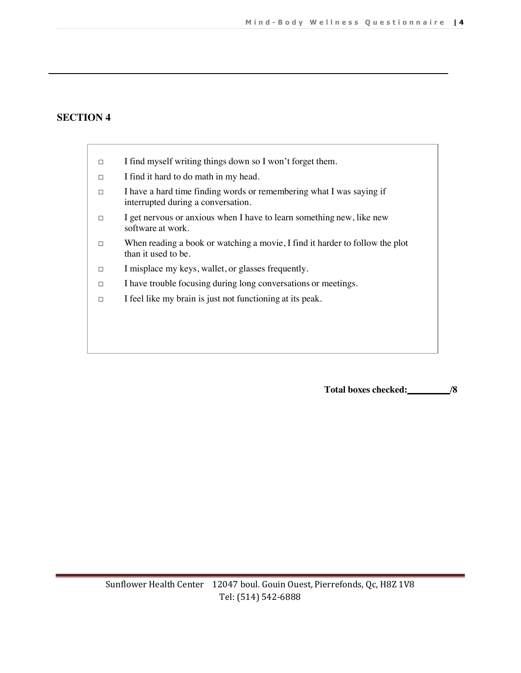- $\Box$  I find myself writing things down so I won't forget them.
- □ I find it hard to do math in my head.
- □ I have a hard time finding words or remembering what I was saying if interrupted during a conversation.
- □ I get nervous or anxious when I have to learn something new, like new software at work.
- □ When reading a book or watching a movie, I find it harder to follow the plot than it used to be.
- □ I misplace my keys, wallet, or glasses frequently.
- □ I have trouble focusing during long conversations or meetings.
- □ I feel like my brain is just not functioning at its peak.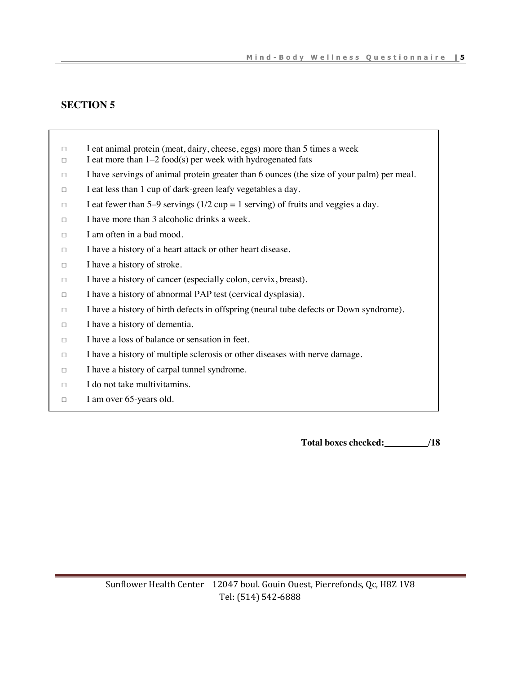- □ I eat animal protein (meat, dairy, cheese, eggs) more than 5 times a week
- $\Box$  I eat more than 1–2 food(s) per week with hydrogenated fats
- □ I have servings of animal protein greater than 6 ounces (the size of your palm) per meal.
- □ I eat less than 1 cup of dark-green leafy vegetables a day.
- $\Box$  I eat fewer than 5–9 servings (1/2 cup = 1 serving) of fruits and veggies a day.
- □ I have more than 3 alcoholic drinks a week.
- □ I am often in a bad mood.
- □ I have a history of a heart attack or other heart disease.
- □ I have a history of stroke.
- □ I have a history of cancer (especially colon, cervix, breast).
- □ I have a history of abnormal PAP test (cervical dysplasia).
- $\Box$  I have a history of birth defects in offspring (neural tube defects or Down syndrome).
- □ I have a history of dementia.
- $\Box$  I have a loss of balance or sensation in feet.
- □ I have a history of multiple sclerosis or other diseases with nerve damage.
- □ I have a history of carpal tunnel syndrome.
- $\Box$  I do not take multivitamins.
- □ I am over 65-years old.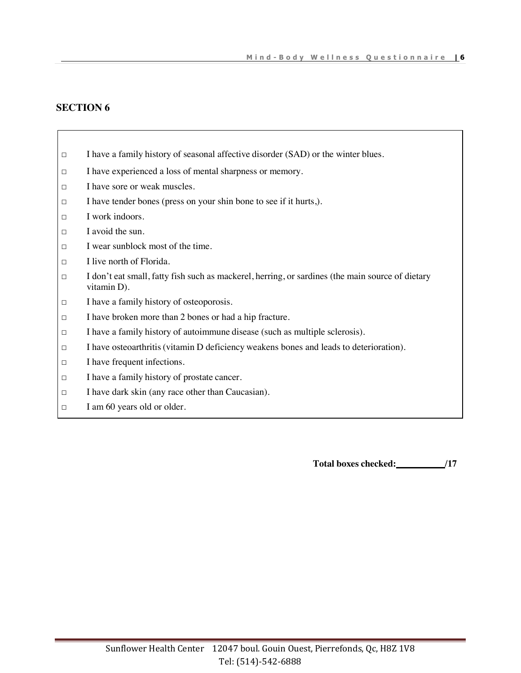- □ I have a family history of seasonal affective disorder (SAD) or the winter blues.
- □ I have experienced a loss of mental sharpness or memory.
- □ I have sore or weak muscles.
- □ I have tender bones (press on your shin bone to see if it hurts,).
- $\Box$  I work indoors.
- □ I avoid the sun.
- $\Box$  I wear sunblock most of the time.
- □ I live north of Florida.
- □ I don't eat small, fatty fish such as mackerel, herring, or sardines (the main source of dietary vitamin D).
- □ I have a family history of osteoporosis.
- □ I have broken more than 2 bones or had a hip fracture.
- □ I have a family history of autoimmune disease (such as multiple sclerosis).
- □ I have osteoarthritis(vitamin D deficiency weakens bones and leads to deterioration).
- □ I have frequent infections.
- □ I have a family history of prostate cancer.
- □ I have dark skin (any race other than Caucasian).
- □ I am 60 years old or older.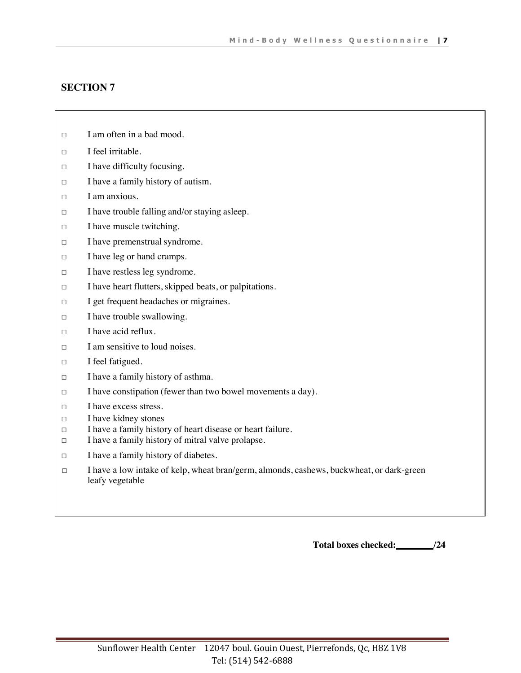- □ I am often in a bad mood.
- □ I feel irritable.
- □ I have difficulty focusing.
- □ I have a family history of autism.
- □ I am anxious.
- □ I have trouble falling and/or staying asleep.
- □ I have muscle twitching.
- □ I have premenstrual syndrome.
- □ I have leg or hand cramps.
- □ I have restless leg syndrome.
- □ I have heart flutters, skipped beats, or palpitations.
- □ I get frequent headaches or migraines.
- □ I have trouble swallowing.
- □ I have acid reflux.
- □ I am sensitive to loud noises.
- □ I feel fatigued.
- □ I have a family history of asthma.
- □ I have constipation (fewer than two bowel movements a day).
- □ I have excess stress.
- □ I have kidney stones
- □ I have a family history of heart disease or heart failure.
- □ I have a family history of mitral valve prolapse.
- □ I have a family history of diabetes.
- □ I have a low intake of kelp, wheat bran/germ, almonds, cashews, buckwheat, or dark-green leafy vegetable

**Total boxes checked:\_\_\_\_\_\_\_\_/24**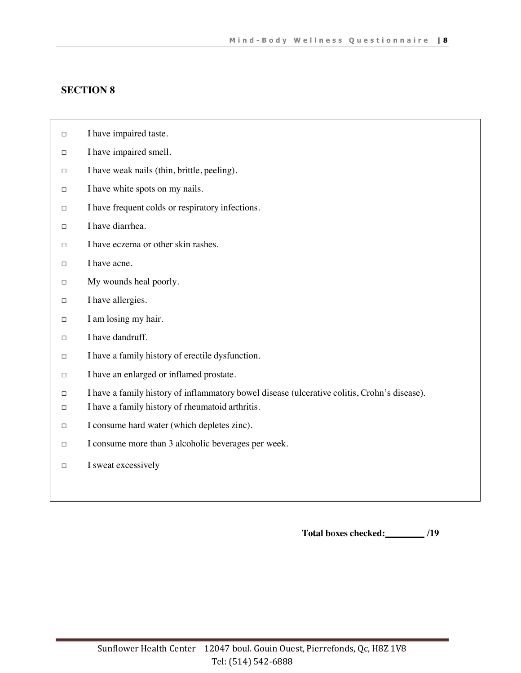- □ I have impaired taste.
- □ I have impaired smell.
- □ I have weak nails (thin, brittle, peeling).
- □ I have white spots on my nails.
- □ I have frequent colds or respiratory infections.
- □ I have diarrhea.
- $\Box$  I have eczema or other skin rashes.
- □ I have acne.
- □ My wounds heal poorly.
- □ I have allergies.
- □ I am losing my hair.
- □ I have dandruff.
- □ I have a family history of erectile dysfunction.
- □ I have an enlarged or inflamed prostate.
- □ I have a family history of inflammatory bowel disease (ulcerative colitis, Crohn's disease).
- □ I have a family history of rheumatoid arthritis.
- □ I consume hard water (which depletes zinc).
- □ I consume more than 3 alcoholic beverages per week.
- □ I sweat excessively